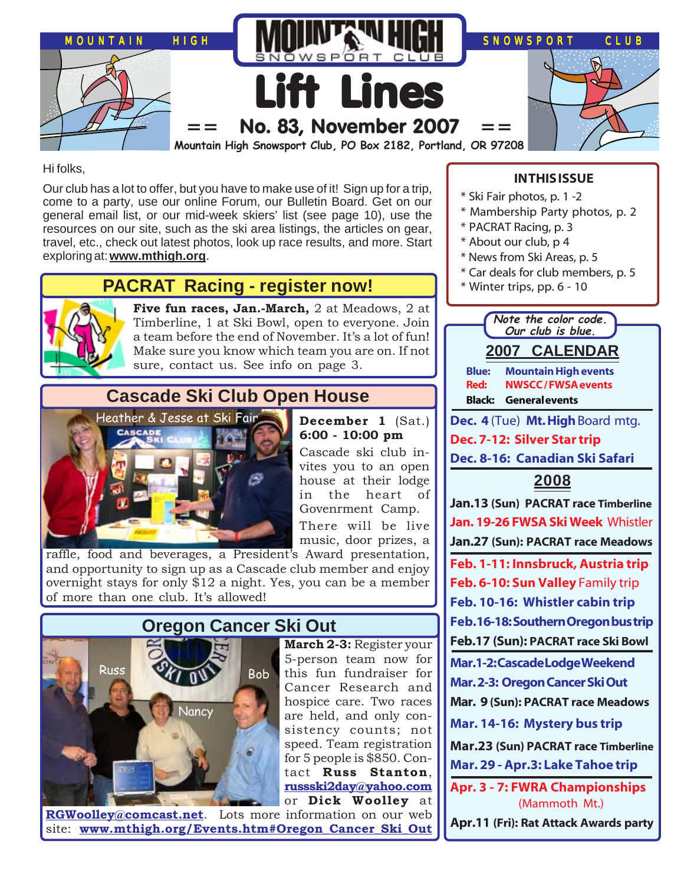

Hi folks,

Our club has a lot to offer, but you have to make use of it! Sign up for a trip, come to a party, use our online Forum, our Bulletin Board. Get on our general email list, or our mid-week skiers' list (see page 10), use the resources on our site, such as the ski area listings, the articles on gear, travel, etc., check out latest photos, look up race results, and more. Start exploring at: **[www.mthigh.org](http://www.mthigh.org/)**.

# **PACRAT Racing - register now!**



**Five fun races, Jan.-March,** 2 at Meadows, 2 at Timberline, 1 at Ski Bowl, open to everyone. Join a team before the end of November. It's a lot of fun! Make sure you know which team you are on. If not sure, contact us. See info on page 3.

# **Cascade Ski Club Open House**



raffle, food and beverages, a President's Award presentation, and opportunity to sign up as a Cascade club member and enjoy overnight stays for only \$12 a night. Yes, you can be a member of more than one club. It's allowed!



**March 2-3:** Register your 5-person team now for this fun fundraiser for Cancer Research and hospice care. Two races are held, and only consistency counts; not speed. Team registration for 5 people is \$850. Contact **Russ Stanton**, **[russski2day@yahoo.com](mailto:russski2day@yahoo.com)** or **Dick Woolley** at

**[RGWoolley@comcast.net](mailto:RGWoolley@comcast.net)**. Lots more information on our web site: **[www.mthigh.org/Events.htm#Oregon\\_Cancer\\_Ski\\_Out](http://www.mthigh.org/Events.htm#Oregon_Cancer_Ski_Out)**

## **IN THIS ISSUE**

- \* Ski Fair photos, p. 1 -2
- \* Mambership Party photos, p. 2
- \* PACRAT Racing, p. 3
- \* About our club, p 4
- \* News from Ski Areas, p. 5
- \* Car deals for club members, p. 5
- \* Winter trips, pp. 6 10



**December 1** (Sat.) **6:00 - 10:00 pm** Cascade ski club in-

vites you to an open house at their lodge in the heart of Govenrment Camp. There will be live music, door prizes, a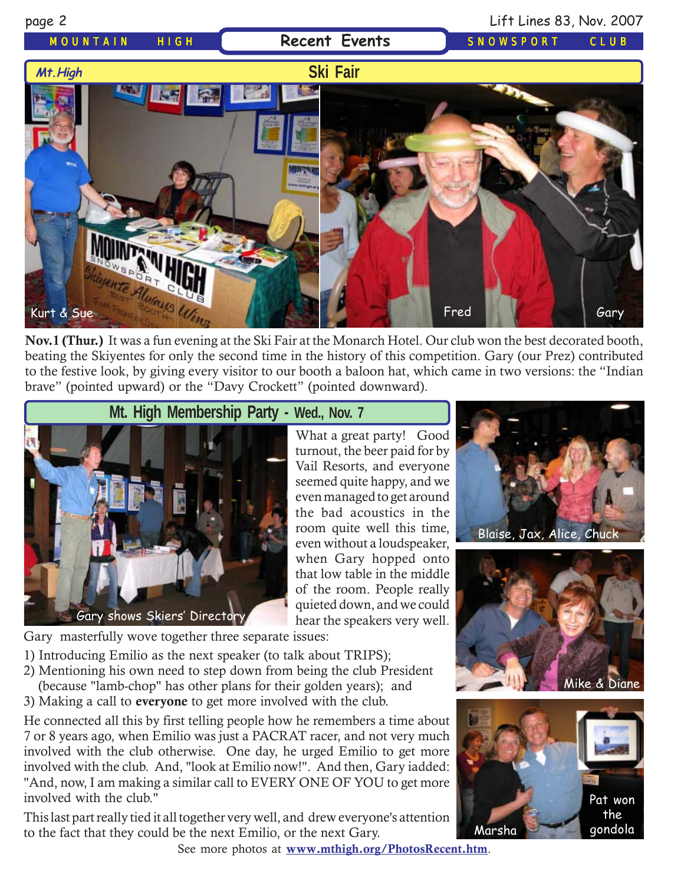# MOUNTAIN HIGH **Recent Events** SNOWSPORT CLUB

## page 2 Lift Lines 83, Nov. 2007





**Nov.1 (Thur.)** It was a fun evening at the Ski Fair at the Monarch Hotel. Our club won the best decorated booth, beating the Skiyentes for only the second time in the history of this competition. Gary (our Prez) contributed to the festive look, by giving every visitor to our booth a baloon hat, which came in two versions: the "Indian brave" (pointed upward) or the "Davy Crockett" (pointed downward).



What a great party! Good turnout, the beer paid for by Vail Resorts, and everyone seemed quite happy, and we even managed to get around the bad acoustics in the room quite well this time, even without a loudspeaker, when Gary hopped onto that low table in the middle of the room. People really quieted down, and we could hear the speakers very well.

Gary masterfully wove together three separate issues:

- 1) Introducing Emilio as the next speaker (to talk about TRIPS);
- 2) Mentioning his own need to step down from being the club President
- (because "lamb-chop" has other plans for their golden years); and
- 3) Making a call to **everyone** to get more involved with the club.

He connected all this by first telling people how he remembers a time about 7 or 8 years ago, when Emilio was just a PACRAT racer, and not very much involved with the club otherwise. One day, he urged Emilio to get more involved with the club. And, "look at Emilio now!". And then, Gary iadded: "And, now, I am making a similar call to EVERY ONE OF YOU to get more involved with the club."

This last part really tied it all together very well, and drew everyone's attention to the fact that they could be the next Emilio, or the next Gary.









See more photos at **[www.mthigh.org/PhotosRecent.htm](http://www.mthigh.org/PhotosRecent.htm)**.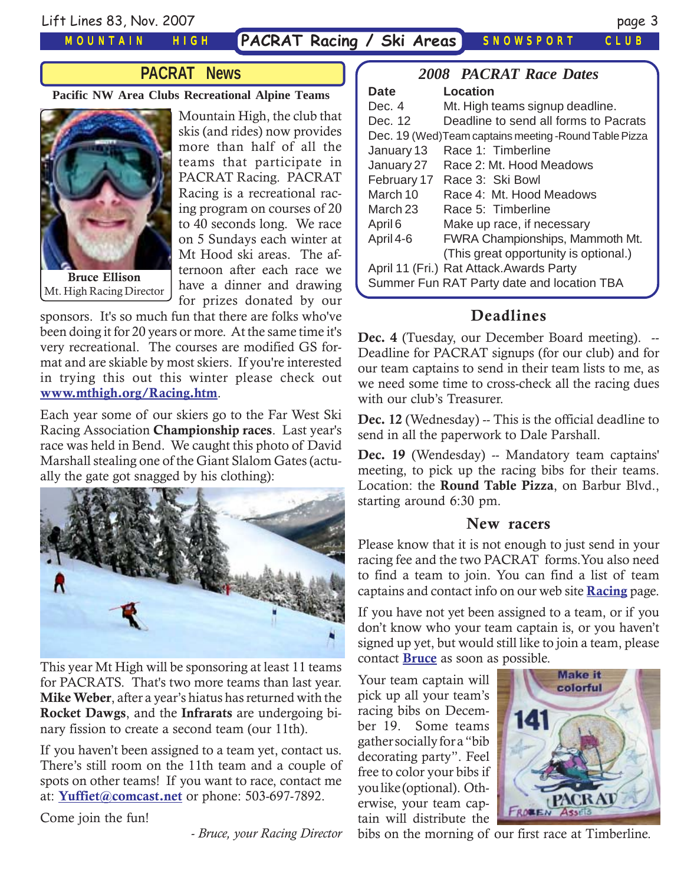Lift Lines 83, Nov. 2007 page 3

### MOUNTAIN HIGH

**PACRAT Racing / Ski Areas** SNOWSPORT CLUB

## **PACRAT News**

### **Pacific NW Area Clubs Recreational Alpine Teams**



**Bruce Ellison** Mt. High Racing Director

Mountain High, the club that skis (and rides) now provides more than half of all the teams that participate in PACRAT Racing. PACRAT Racing is a recreational racing program on courses of 20 to 40 seconds long. We race on 5 Sundays each winter at Mt Hood ski areas. The afternoon after each race we have a dinner and drawing for prizes donated by our

sponsors. It's so much fun that there are folks who've been doing it for 20 years or more. At the same time it's very recreational. The courses are modified GS format and are skiable by most skiers. If you're interested in trying this out this winter please check out **[www.mthigh.org/Racing.htm](http://www.mthigh.org/Racing.htm)**.

Each year some of our skiers go to the Far West Ski Racing Association **Championship races**. Last year's race was held in Bend. We caught this photo of David Marshall stealing one of the Giant Slalom Gates (actually the gate got snagged by his clothing):



This year Mt High will be sponsoring at least 11 teams for PACRATS. That's two more teams than last year. **Mike Weber**, after a year's hiatus has returned with the **Rocket Dawgs**, and the **Infrarats** are undergoing binary fission to create a second team (our 11th).

If you haven't been assigned to a team yet, contact us. There's still room on the 11th team and a couple of spots on other teams! If you want to race, contact me at: **[Yuffiet@comcast.net](mailto:Yuffiet@comcast.net)** or phone: 503-697-7892.

Come join the fun!

*- Bruce, your Racing Director*

|                                                         | <b>2008 PACRAT Race Dates</b>            |  |  |  |  |  |
|---------------------------------------------------------|------------------------------------------|--|--|--|--|--|
| <b>Date</b>                                             | Location                                 |  |  |  |  |  |
| Dec. 4                                                  | Mt. High teams signup deadline.          |  |  |  |  |  |
| Dec. 12                                                 | Deadline to send all forms to Pacrats    |  |  |  |  |  |
| Dec. 19 (Wed) Team captains meeting - Round Table Pizza |                                          |  |  |  |  |  |
| January 13                                              | Race 1: Timberline                       |  |  |  |  |  |
| January 27                                              | Race 2: Mt. Hood Meadows                 |  |  |  |  |  |
| February 17                                             | Race 3: Ski Bowl                         |  |  |  |  |  |
| March 10                                                | Race 4: Mt. Hood Meadows                 |  |  |  |  |  |
| March 23                                                | Race 5: Timberline                       |  |  |  |  |  |
| April 6                                                 | Make up race, if necessary               |  |  |  |  |  |
| April 4-6                                               | <b>FWRA Championships, Mammoth Mt.</b>   |  |  |  |  |  |
|                                                         | (This great opportunity is optional.)    |  |  |  |  |  |
|                                                         | April 11 (Fri.) Rat Attack. Awards Party |  |  |  |  |  |
| Summer Fun RAT Party date and location TBA              |                                          |  |  |  |  |  |

## **Deadlines**

**Dec. 4** (Tuesday, our December Board meeting). -- Deadline for PACRAT signups (for our club) and for our team captains to send in their team lists to me, as we need some time to cross-check all the racing dues with our club's Treasurer.

**Dec. 12** (Wednesday) -- This is the official deadline to send in all the paperwork to Dale Parshall.

Dec. 19 (Wendesday) -- Mandatory team captains' meeting, to pick up the racing bibs for their teams. Location: the **Round Table Pizza**, on Barbur Blvd., starting around 6:30 pm.

## **New racers**

Please know that it is not enough to just send in your racing fee and the two PACRAT forms.You also need to find a team to join. You can find a list of team captains and contact info on our web site **[Racing](http://www.mthigh.org/Racing.htm)** page.

If you have not yet been assigned to a team, or if you don't know who your team captain is, or you haven't signed up yet, but would still like to join a team, please contact **[Bruce](mailto:Yuffiet@comcast.net)** as soon as possible.

Your team captain will pick up all your team's racing bibs on December 19. Some teams gather socially for a "bib decorating party". Feel free to color your bibs if you like (optional). Otherwise, your team captain will distribute the



bibs on the morning of our first race at Timberline.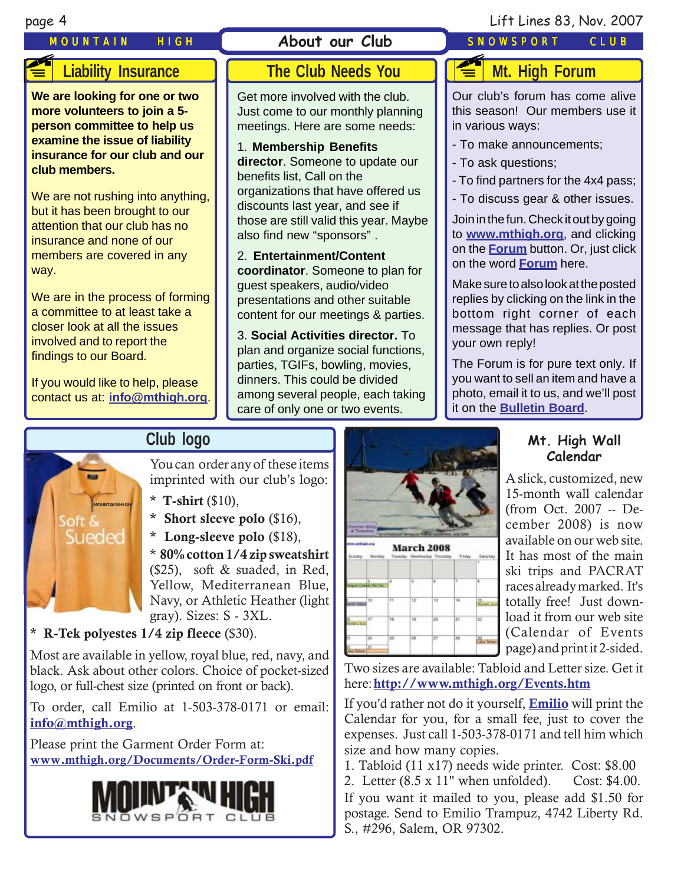# MOUNTAIN HIGH **About our Club** SNOWSPORT CLUB **FE**

## page 4 Lift Lines 83, Nov. 2007

# **Liability Insurance**

**We are looking for one or two more volunteers to join a 5 person committee to help us examine the issue of liability insurance for our club and our club members.**

We are not rushing into anything, but it has been brought to our attention that our club has no insurance and none of our members are covered in any way.

We are in the process of forming a committee to at least take a closer look at all the issues involved and to report the findings to our Board.

If you would like to help, please contact us at: **i[nfo@mthigh.org](mailto:info@MtHigh.org)**.

# **The Club Needs You**

Get more involved with the club. Just come to our monthly planning meetings. Here are some needs:

1. **Membership Benefits director**. Someone to update our benefits list, Call on the organizations that have offered us discounts last year, and see if those are still valid this year. Maybe also find new "sponsors" .

2. **Entertainment/Content coordinator**. Someone to plan for guest speakers, audio/video presentations and other suitable content for our meetings & parties.

3. **Social Activities director.** To plan and organize social functions, parties, TGIFs, bowling, movies, dinners. This could be divided among several people, each taking care of only one or two events.

## **Mt. High Forum** ~

Our club's forum has come alive this season! Our members use it in various ways:

- To make announcements;
- To ask questions;
- To find partners for the 4x4 pass;
- To discuss gear & other issues.

Join in the fun. Check it out by going to **[www.mthigh.org](http://www.mthigh.org/)**, and clicking on the **[Forum](http://mthigh.org/tinc?key=AiBficmq&start=-1&epp=15&reverse=1)** button. Or, just click on the word **[Forum](http://mthigh.org/tinc?key=AiBficmq&start=-1&epp=15&reverse=1)** here.

Make sure to also look at the posted replies by clicking on the link in the bottom right corner of each message that has replies. Or post your own reply!

The Forum is for pure text only. If you want to sell an item and have a photo, email it to us, and we'll post it on the **[Bulletin Board](http://www.mthigh.org/BulletinBoard.htm)**.

# **Club logo**



You can order any of these items imprinted with our club's logo:

- **\* T-shirt** (\$10),
- **\* Short sleeve polo** (\$16),
- **\* Long-sleeve polo** (\$18),

\* **80% cotton 1/4 zip sweatshirt** (\$25), soft & suaded, in Red, Yellow, Mediterranean Blue, Navy, or Athletic Heather (light gray). Sizes: S - 3XL.

**\* R-Tek polyestes 1/4 zip fleece** (\$30).

Most are available in yellow, royal blue, red, navy, and black. Ask about other colors. Choice of pocket-sized logo, or full-chest size (printed on front or back).

To order, call Emilio at 1-503-378-0171 or email: **i[nfo@mthigh.org](mailto:info@mthigh.org)**.

Please print the Garment Order Form at: **[www.mthigh.org/Documents/Order-Form-Ski.pdf](http://www.mthigh.org/Documents/Order-Form-Ski.pdf)**





## **Mt. High Wall Calendar**

A slick, customized, new 15-month wall calendar (from Oct. 2007 -- December 2008) is now available on our web site. It has most of the main ski trips and PACRAT races already marked. It's totally free! Just download it from our web site (Calendar of Events page) and print it 2-sided.

Two sizes are available: Tabloid and Letter size. Get it here: **<http://www.mthigh.org/Events.htm>**

If you'd rather not do it yourself, **[Emilio](mailto:Emilio2000@earthlink.net)** will print the Calendar for you, for a small fee, just to cover the expenses. Just call 1-503-378-0171 and tell him which size and how many copies.

1. Tabloid (11 x17) needs wide printer. Cost: \$8.00

2. Letter (8.5 x 11" when unfolded). Cost: \$4.00.

If you want it mailed to you, please add \$1.50 for postage. Send to Emilio Trampuz, 4742 Liberty Rd. S., #296, Salem, OR 97302.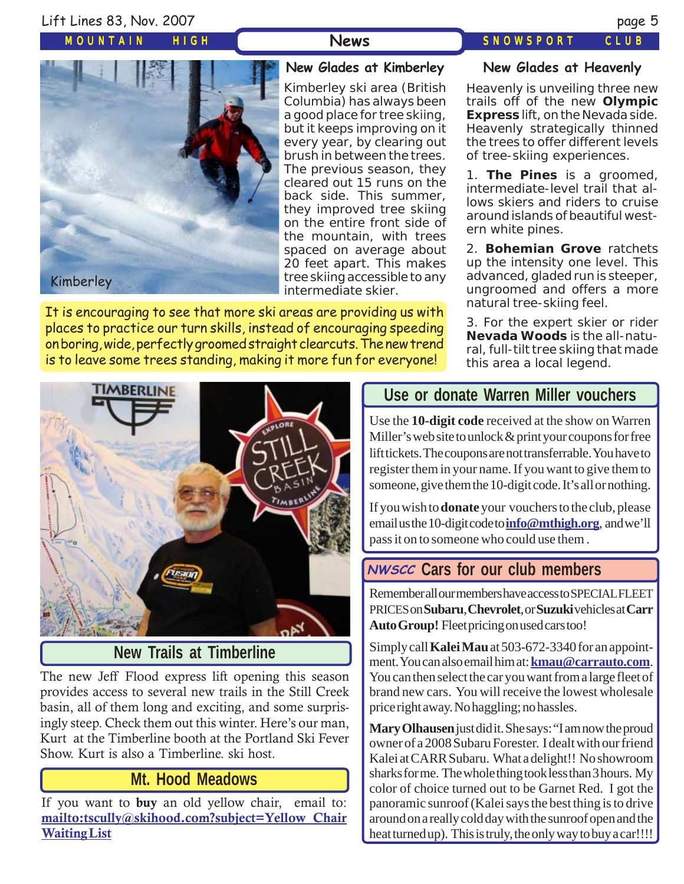## Lift Lines 83, Nov. 2007 page 5

MOUNTAIN HIGH

## News SNOWSPORT CLUB





## **New Glades at Kimberley**

Kimberley ski area (British Columbia) has always been a good place for tree skiing, but it keeps improving on it every year, by clearing out brush in between the trees. The previous season, they cleared out 15 runs on the back side. This summer, they improved tree skiing on the entire front side of the mountain, with trees spaced on average about 20 feet apart. This makes tree skiing accessible to any intermediate skier.

It is encouraging to see that more ski areas are providing us with places to practice our turn skills, instead of encouraging speeding on boring, wide, perfectly groomed straight clearcuts. The new trend is to leave some trees standing, making it more fun for everyone!

### **New Glades at Heavenly**

Heavenly is unveiling three new trails off of the new **Olympic Express** lift, on the Nevada side. Heavenly strategically thinned the trees to offer different levels of tree-skiing experiences.

1. **The Pines** is a groomed, intermediate-level trail that allows skiers and riders to cruise around islands of beautiful western white pines.

2. **Bohemian Grove** ratchets up the intensity one level. This advanced, gladed run is steeper, ungroomed and offers a more natural tree-skiing feel.

3. For the expert skier or rider **Nevada Woods** is the all-natural, full-tilt tree skiing that made this area a local legend.



# **New Trails at Timberline**

The new Jeff Flood express lift opening this season provides access to several new trails in the Still Creek basin, all of them long and exciting, and some surprisingly steep. Check them out this winter. Here's our man, Kurt at the Timberline booth at the Portland Ski Fever Show. Kurt is also a Timberline. ski host.

## **Mt. Hood Meadows**

If you want to **buy** an old yellow chair, email to: **[mailto:tscully@skihood.com?subject=Yellow Chair](mailto:tscully@skihood.com?subject=Yellow Chair Waiting List) [Waiting List](mailto:tscully@skihood.com?subject=Yellow Chair Waiting List)**

# **Use or donate Warren Miller vouchers**

Use the **10-digit code** received at the show on Warren Miller's web site to unlock & print your coupons for free lift tickets. The coupons are not transferrable. You have to register them in your name. If you want to give them to someone, give them the 10-digit code. It's all or nothing.

If you wish to **donate** your vouchers to the club, please email us the 10-digit code to **[info@mthigh.org](mailto:info@MtHigh.org)**, and we'll pass it on to someone who could use them .

# **Cars for our club members NWSCC**

Remember all our members have access to SPECIAL FLEET PRICES on **Subaru**, **Chevrolet**, or **Suzuki** vehicles at **Carr Auto Group!** Fleet pricing on used cars too!

Simply call **Kalei Mau** at 503-672-3340 for an appointment. You can also email him at: **[kmau@carrauto.com](mailto:kmau@carrauto.com)**. You can then select the car you want from a large fleet of brand new cars. You will receive the lowest wholesale price right away. No haggling; no hassles.

**Mary Olhausen** just did it. She says: "I am now the proud owner of a 2008 Subaru Forester. I dealt with our friend Kalei at CARR Subaru. What a delight!! No showroom sharks for me. The whole thing took less than 3 hours. My color of choice turned out to be Garnet Red. I got the panoramic sunroof (Kalei says the best thing is to drive around on a really cold day with the sunroof open and the heat turned up). This is truly, the only way to buy a car!!!!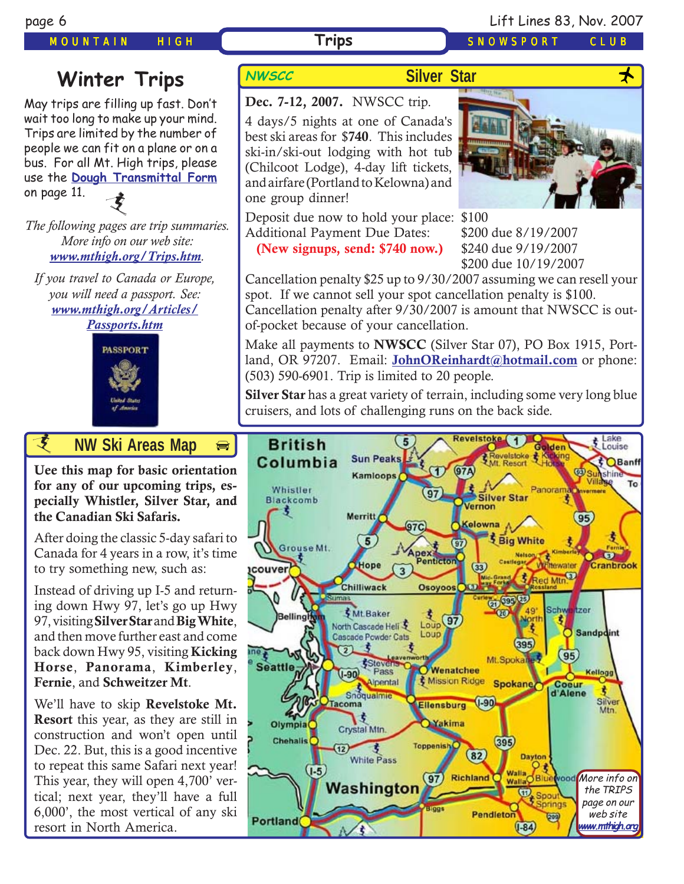### MOUNTAIN HIGH **Trips** SNOWSPORT CLUB

# **Winter Trips** NWSCC

May trips are filling up fast. Don't wait too long to make up your mind. Trips are limited by the number of people we can fit on a plane or on a bus. For all Mt. High trips, please use the **[Dough Transmittal Form](http://www.mthigh.org/Documents/DOUGH%20TRANSMITTAL%20FORM.pdf)** on page 11. 支

*The following pages are trip summaries. More info on our web site: [www.mthigh.org/Trips.htm](http://www.mthigh.org/Trips.htm).*

*If you travel to Canada or Europe, you will need a passport. See: [www.mthigh.org/Articles/](http://www.mthigh.org/Articles/Passports.htm) [Passports.htm](http://www.mthigh.org/Articles/Passports.htm)*



# *i* **AW Ski Areas Ma[p](http://beavercreek.snow.com/winterhome.asp)**

**[Uee this map for basic orientation](http://beavercreek.snow.com/winterhome.asp) for any of our upcoming trips, especially Whistler, Silver Star, and [the Canadian Ski Safaris.](http://beavercreek.snow.com/winterhome.asp)** 

After doing the classic 5-day safari to Canada for 4 years in a row, it's time to try something new, such as:

Instead of driving up I-5 and returning down Hwy 97, let's go up Hwy 97, visiting **Silver Star** and **Big White**, and then move further east and come back down Hwy 95, visiting **Kicking Horse**, **Panorama**, **Kimberley**, **Fernie**, and **Schweitzer Mt**.

We'll have to skip **Revelstoke Mt. Resort** this year, as they are still in construction and won't open until Dec. 22. But, this is a good incentive to repeat this same Safari next year! This year, they will open 4,700' vertical; next year, they'll have a full 6,000', the most vertical of any ski resort in North America.

## **Silver Star**





4 days/5 nights at one of Canada's best ski areas for \$**740**. This includes ski-in/ski-out lodging with hot tub (Chilcoot Lodge), 4-day lift tickets, and airfare (Portland to Kelowna) and one group dinner!



Deposit due now to hold your place: \$100 Additional Payment Due Dates: \$200 due 8/19/2007

**(New signups, send: \$740 now.)** \$240 due 9/19/2007

\$200 due 10/19/2007

Cancellation penalty \$25 up to 9/30/2007 assuming we can resell your spot. If we cannot sell your spot cancellation penalty is \$100. Cancellation penalty after 9/30/2007 is amount that NWSCC is outof-pocket because of your cancellation.

Make all payments to **NWSCC** (Silver Star 07), PO Box 1915, Portland, OR 97207. Email: **JohnOReinhardt@hotmail.com** or phone: (503) 590-6901. Trip is limited to 20 people.

**Silver Star** has a great variety of terrain, including some very long blue cruisers, and lots of challenging runs on the back side.

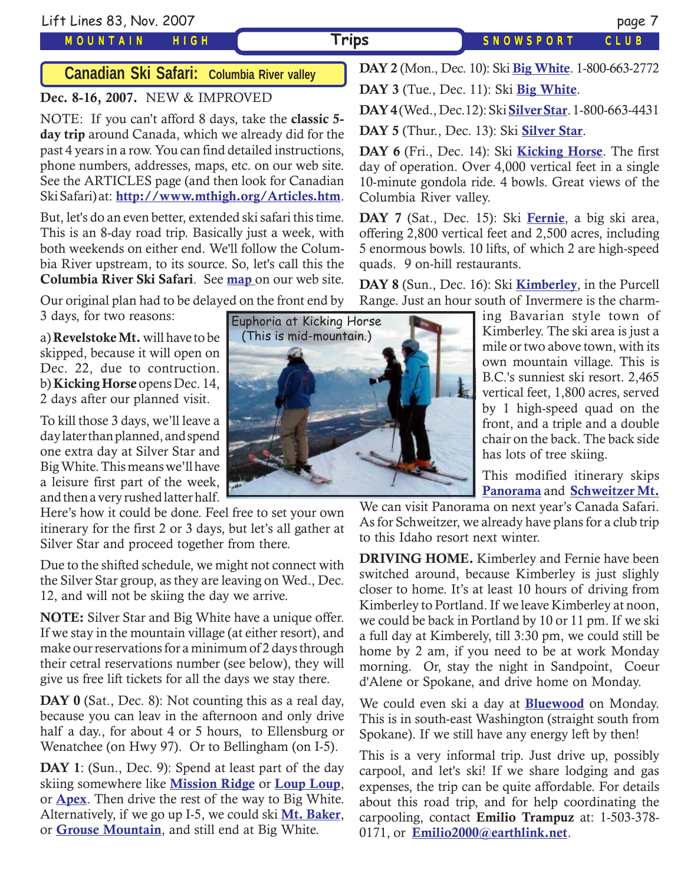# **Canadian Ski Safari: Columbia River valley**

### **Dec. 8-16, 2007.** NEW & IMPROVED

NOTE: If you can't afford 8 days, take the **classic 5 day trip** around Canada, which we already did for the past 4 years in a row. You can find detailed instructions, phone numbers, addresses, maps, etc. on our web site. See the ARTICLES page (and then look for Canadian Ski Safari) at: **<http://www.mthigh.org/Articles.htm>**.

But, let's do an even better, extended ski safari this time. This is an 8-day road trip. Basically just a week, with both weekends on either end. We'll follow the Columbia River upstream, to its source. So, let's call this the **Columbia River Ski Safari**. See **[map](http://www.mthigh.org/Trips/Map-NW-Ski-Safaris-w.jpg)** on our web site.

Our original plan had to be delayed on the front end by 3 days, for two reasons:

a) **Revelstoke Mt.** will have to be skipped, because it will open on Dec. 22, due to contruction. b) **Kicking Horse** opens Dec. 14, 2 days after our planned visit.

To kill those 3 days, we'll leave a day later than planned, and spend one extra day at Silver Star and Big White. This means we'll have a leisure first part of the week, and then a very rushed latter half.

Here's how it could be done. Feel free to set your own itinerary for the first 2 or 3 days, but let's all gather at Silver Star and proceed together from there.

Due to the shifted schedule, we might not connect with the Silver Star group, as they are leaving on Wed., Dec. 12, and will not be skiing the day we arrive.

**NOTE:** Silver Star and Big White have a unique offer. If we stay in the mountain village (at either resort), and make our reservations for a minimum of 2 days through their cetral reservations number (see below), they will give us free lift tickets for all the days we stay there.

**DAY 0** (Sat., Dec. 8): Not counting this as a real day, because you can leav in the afternoon and only drive half a day., for about 4 or 5 hours, to Ellensburg or Wenatchee (on Hwy 97). Or to Bellingham (on I-5).

**DAY 1**: (Sun., Dec. 9): Spend at least part of the day skiing somewhere like **[Mission Ridge](http://www.missionridge.com/)** or **[Loup Loup](http://www.skitheloup.com/)**, or **[Apex](http://www.apexresort.com/)**. Then drive the rest of the way to Big White. Alternatively, if we go up I-5, we could ski **[Mt. Baker](http://www.mtbaker.us/)**, or **[Grouse Mountain](http://www.grousemountain.com/welcome.cfm)**, and still end at Big White.



**DAY 2** (Mon., Dec. 10): Ski **[Big White](http://www.bigwhite.com/)**. 1-800-663-2772

**DAY 3** (Tue., Dec. 11): Ski **[Big White](http://www.bigwhite.com/)**.

**DAY 4** (Wed., Dec.12): Ski **[Silver Star](http://www.skisilverstar.com/)**. 1-800-663-4431

**DAY 5** (Thur., Dec. 13): Ski **[Silver Star](http://www.skisilverstar.com/)**.

**DAY 6** (Fri., Dec. 14): Ski **[Kicking Horse](http://www.kickinghorseresort.com/winter/)**. The first day of operation. Over 4,000 vertical feet in a single 10-minute gondola ride. 4 bowls. Great views of the Columbia River valley.

**DAY 7** (Sat., Dec. 15): Ski **[Fernie](http://www.skifernie.com/the-mountain.aspx)**, a big ski area, offering 2,800 vertical feet and 2,500 acres, including 5 enormous bowls. 10 lifts, of which 2 are high-speed quads. 9 on-hill restaurants.

**DAY 8** (Sun., Dec. 16): Ski **[Kimberley](http://www.skikimberley.com/)**, in the Purcell Range. Just an hour south of Invermere is the charm-

> remetted by the ski area is just a own mountain village. This is ing Bavarian style town of Kimberley. The ski area is just a B.C.'s sunniest ski resort. 2,465 vertical feet, 1,800 acres, served by 1 high-speed quad on the front, and a triple and a double chair on the back. The back side has lots of tree skiing.

> This modified itinerary skips **[Panorama](http://www.panoramaresort.com/index.htm)** and **[Schweitzer Mt.](http://www.schweitzer.com/)**

We can visit Panorama on next year's Canada Safari. As for Schweitzer, we already have plans for a club trip to this Idaho resort next winter.

**DRIVING HOME.** Kimberley and Fernie have been switched around, because Kimberley is just slighly closer to home. It's at least 10 hours of driving from Kimberley to Portland. If we leave Kimberley at noon, we could be back in Portland by 10 or 11 pm. If we ski a full day at Kimberely, till 3:30 pm, we could still be home by 2 am, if you need to be at work Monday morning. Or, stay the night in Sandpoint, Coeur d'Alene or Spokane, and drive home on Monday.

We could even ski a day at **[Bluewood](http://www.bluewood.com/)** on Monday. This is in south-east Washington (straight south from Spokane). If we still have any energy left by then!

This is a very informal trip. Just drive up, possibly carpool, and let's ski! If we share lodging and gas expenses, the trip can be quite affordable. For details about this road trip, and for help coordinating the carpooling, contact **Emilio Trampuz** at: 1-503-378- 0171, or **[Emilio2000@earthlink.net](mailto:Emilio2000@earthlink.net)**.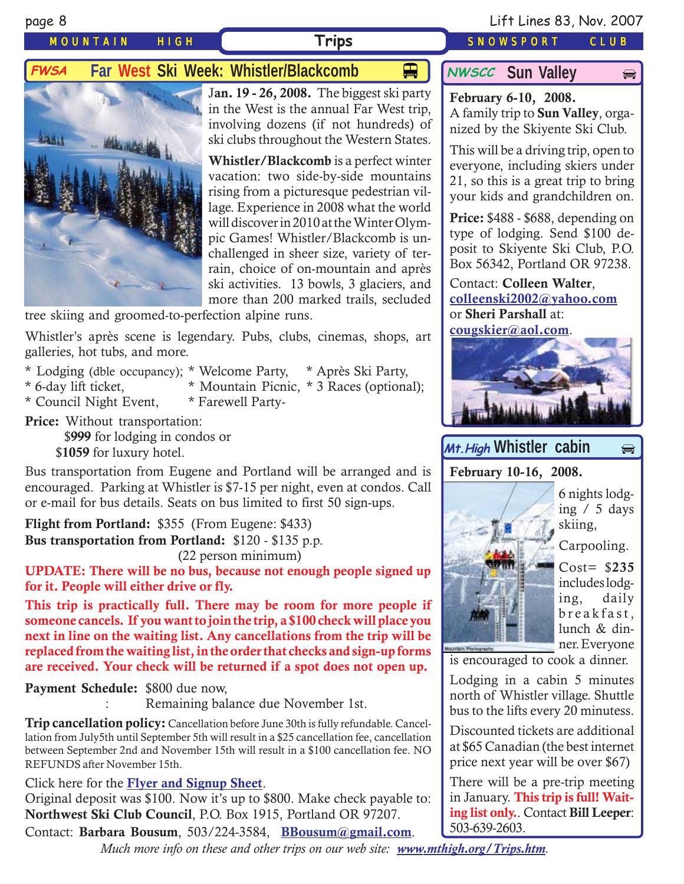$\bigoplus$ 

## MOUNTAIN HIGH **Trips** SNOWSPORT CLUB

# **FWSA** Far West Ski Week: Whistler/Blackcomb  $\Box$  MWSCC Sun Valley



J**an. 19 - 26, 2008.** The biggest ski party in the West is the annual Far West trip, involving dozens (if not hundreds) of ski clubs throughout the Western States.

**Whistler/Blackcomb** is a perfect winter vacation: two side-by-side mountains rising from a picturesque pedestrian village. Experience in 2008 what the world will discover in 2010 at the Winter Olympic Games! Whistler/Blackcomb is unchallenged in sheer size, variety of terrain, choice of on-mountain and après ski activities. 13 bowls, 3 glaciers, and more than 200 marked trails, secluded

tree skiing and groomed-to-perfection alpine runs.

Whistler's après scene is legendary. Pubs, clubs, cinemas, shops, art galleries, hot tubs, and more.

- \* Lodging (dble occupancy); \* Welcome Party, \* Après Ski Party,
- \* 6-day lift ticket, \* Mountain Picnic, \* 3 Races (optional);
	-

\* Council Night Event, \* Farewell Party-

**Price:** Without transportation: \$**999** for lodging in condos or \$**1059** for luxury hotel.

Bus transportation from Eugene and Portland will be arranged and is encouraged. Parking at Whistler is \$7-15 per night, even at condos. Call or e-mail for bus details. Seats on bus limited to first 50 sign-ups.

**Flight from Portland:** \$355 (From Eugene: \$433) **Bus transportation from Portland:** \$120 - \$135 p.p. (22 person minimum)

**UPDATE: There will be no bus, because not enough people signed up for it. People will either drive or fly.**

**This trip is practically full. There may be room for more people if someone cancels. If you want to join the trip, a \$100 check will place you next in line on the waiting list. Any cancellations from the trip will be replaced from the waiting list, in the order that checks and sign-up forms are received. Your check will be returned if a spot does not open up.**

**Payment Schedule:** \$800 due now,

Remaining balance due November 1st.

**Trip cancellation policy:** Cancellation before June 30th is fully refundable. Cancellation from July5th until September 5th will result in a \$25 cancellation fee, cancellation between September 2nd and November 15th will result in a \$100 cancellation fee. NO REFUNDS after November 15th.

Click here for the **[Flyer and Signup Sheet](http://www.mthigh.org/Trips/2008-FWSA-Whistler-flier.pdf)**.

Original deposit was \$100. Now it's up to \$800. Make check payable to: **Northwest Ski Club Council**, P.O. Box 1915, Portland OR 97207.

Contact: **Barbara Bousum**, 503/224-3584, **[BBousum@gmail.com](mailto:BBousum@gmail.com)**.

*Much more info on these and other trips on our web site: [www.mthigh.org/Trips.htm](http://www.mthigh.org/Trips.htm).*

## **NWSCC** Sun Valley

**February 6-10, 2008.** A family trip to **Sun Valley**, organized by the Skiyente Ski Club.

This will be a driving trip, open to everyone, including skiers under 21, so this is a great trip to bring your kids and grandchildren on.

**Price:** \$488 - \$688, depending on type of lodging. Send \$100 deposit to Skiyente Ski Club, P.O. Box 56342, Portland OR 97238.

Contact: **Colleen Walter**, **[colleenski2002@yahoo.com](mailto:colleenski2002@yahoo.com)** or **Sheri Parshall** at: **[cougskier@aol.com](mailto:cougskier@aol.com)**.



# Mt.High Whistler cabin  $\Rightarrow$

**February 10-16, 2008.**

6 nights lodging / 5 days skiing,

Carpooling.



is encouraged to cook a dinner.

Lodging in a cabin 5 minutes north of Whistler village. Shuttle bus to the lifts every 20 minutess.

Discounted tickets are additional at \$65 Canadian (the best internet price next year will be over \$67)

There will be a pre-trip meeting in January. **This trip is full! Waiting list only.**. Contact **Bill Leeper**: 503-639-2603.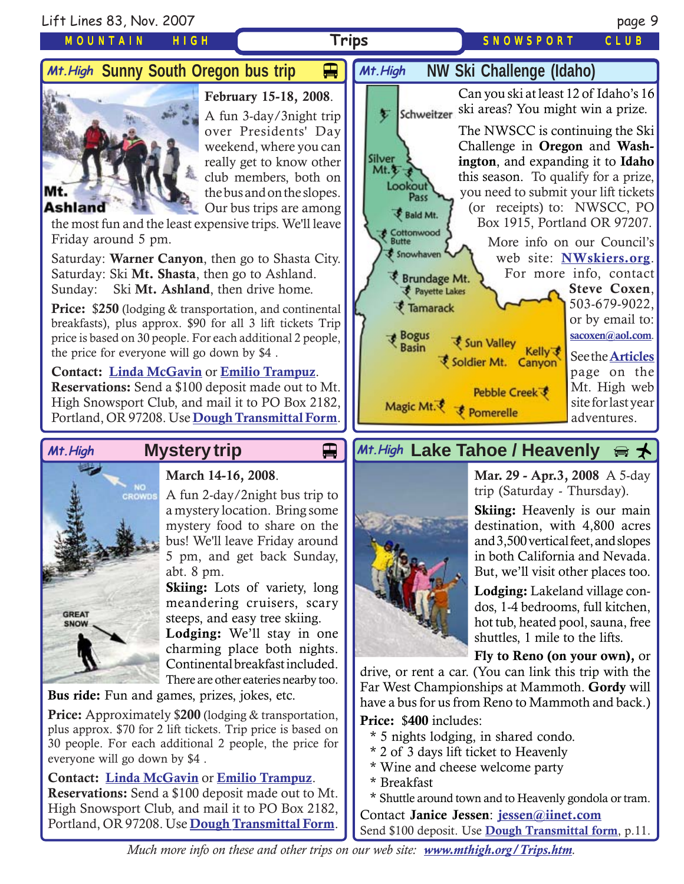

\* Breakfast

\* Shuttle around town and to Heavenly gondola or tram. Contact **Janice Jessen**: **[jessen@iinet.com](mailto:jessen@iinet.com)** Send \$100 deposit. Use **[Dough Transmittal form](http://www.mthigh.org/Documents/DOUGH%20TRANSMITTAL%20FORM.pdf)**, p.11.

*Much more info on these and other trips on our web site: [www.mthigh.org/Trips.htm](http://www.mthigh.org/Trips.htm).*

**Reservations:** Send a \$100 deposit made out to Mt. High Snowsport Club, and mail it to PO Box 2182, Portland, OR 97208. Use **[Dough Transmittal Form](http://www.mthigh.org/Documents/DOUGH%20TRANSMITTAL%20FORM.pdf)**.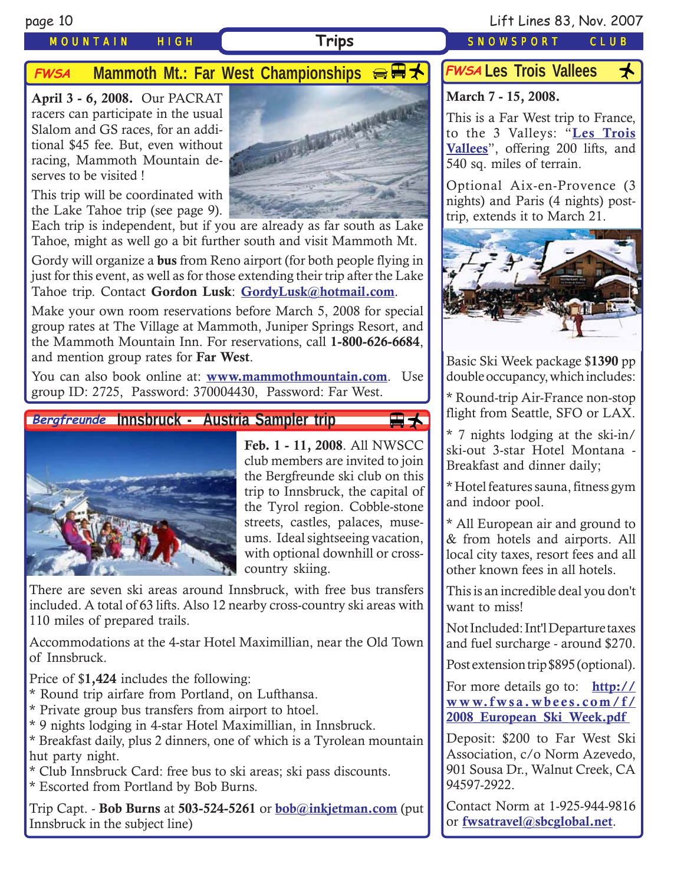## MOUNTAIN HIGH **Trips** SNOWSPORT CLUB

page 10 Lift Lines 83, Nov. 2007

# **FWSA** Mammoth Mt.: Far West Championships  $\bigoplus$   $\mathbb{R}$   $\star$

**April 3 - 6, 2008.** Our PACRAT racers can participate in the usual Slalom and GS races, for an additional \$45 fee. But, even without racing, Mammoth Mountain deserves to be visited !



This trip will be coordinated with the Lake Tahoe trip (see page 9).

Each trip is independent, but if you are already as far south as Lake Tahoe, might as well go a bit further south and visit Mammoth Mt.

Gordy will organize a **bus** from Reno airport (for both people flying in just for this event, as well as for those extending their trip after the Lake Tahoe trip. Contact **Gordon Lusk**: **[GordyLusk@hotmail.com](mailto:gordylusk@hotmail.com)**.

Make your own room reservations before March 5, 2008 for special group rates at The Village at Mammoth, Juniper Springs Resort, and the Mammoth Mountain Inn. For reservations, call **1-800-626-6684**, and mention group rates for **Far West**.

You can also book online at: **[www.mammothmountain.com](http://www.mammothmountain.com/)**. Use group ID: 2725, Password: 370004430, Password: Far West.

## Bergfreunde Innsbruck - Austria Sampler trip



**Feb. 1 - 11, 2008**. All NWSCC club members are invited to join the Bergfreunde ski club on this trip to Innsbruck, the capital of the Tyrol region. Cobble-stone streets, castles, palaces, museums. Ideal sightseeing vacation, with optional downhill or crosscountry skiing.

<del>国</del>大

There are seven ski areas around Innsbruck, with free bus transfers included. A total of 63 lifts. Also 12 nearby cross-country ski areas with 110 miles of prepared trails.

Accommodations at the 4-star Hotel Maximillian, near the Old Town of Innsbruck.

Price of \$**1,424** includes the following:

- \* Round trip airfare from Portland, on Lufthansa.
- \* Private group bus transfers from airport to htoel.
- \* 9 nights lodging in 4-star Hotel Maximillian, in Innsbruck.
- \* Breakfast daily, plus 2 dinners, one of which is a Tyrolean mountain hut party night.

\* Club Innsbruck Card: free bus to ski areas; ski pass discounts.

\* Escorted from Portland by Bob Burns.

Trip Capt. - **Bob Burns** at **503-524-5261** or **[bob@inkjetman.com](mailto:bob@inkjetman.com)** (put Innsbruck in the subject line)

# FWSA Les Trois Vallees <del>人</del>

# **March 7 - 15, 2008.**

This is a Far West trip to France, to the 3 Valleys: "**[Les Trois](http://www.mthigh.org/Trips.htm#Les_Trois_Vallees) [Vallees](http://www.mthigh.org/Trips.htm#Les_Trois_Vallees)**", offering 200 lifts, and 540 sq. miles of terrain.

Optional Aix-en-Provence (3 nights) and Paris (4 nights) posttrip, extends it to March 21.



Basic Ski Week package \$**1390** pp double occupancy, which includes:

\* Round-trip Air-France non-stop flight from Seattle, SFO or LAX.

\* 7 nights lodging at the ski-in/ ski-out 3-star Hotel Montana - Breakfast and dinner daily;

\* Hotel features sauna, fitness gym and indoor pool.

\* All European air and ground to & from hotels and airports. All local city taxes, resort fees and all other known fees in all hotels.

This is an incredible deal you don't want to miss!

Not Included: Int'l Departure taxes and fuel surcharge - around \$270.

Post extension trip \$895 (optional).

For more details go to: **[http://](http://www.fwsa.wbees.com/f/2008_European_Ski_Week.pdf ) [www.fwsa.wbees.com/f/](http://www.fwsa.wbees.com/f/2008_European_Ski_Week.pdf ) [2008\\_European\\_Ski\\_Week.pdf](http://www.fwsa.wbees.com/f/2008_European_Ski_Week.pdf )**

Deposit: \$200 to Far West Ski Association, c/o Norm Azevedo, 901 Sousa Dr., Walnut Creek, CA 94597-2922.

Contact Norm at 1-925-944-9816 or **[fwsatravel@sbcglobal.net](mailto:fwsatravel@sbcglobal.net)**.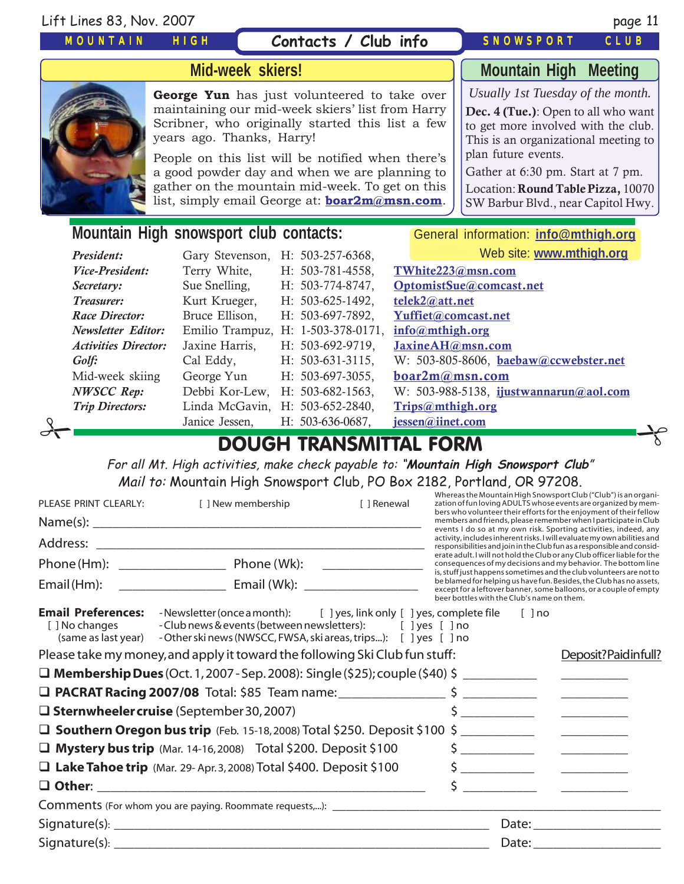### Lift Lines 83, Nov. 2007 page 11

## MOUNTAIN HIGH

# **Contacts / Club info**

# SNOWSPORT CLUB



## **Mid-week skiers!**

**George Yun** has just volunteered to take over maintaining our mid-week skiers' list from Harry Scribner, who originally started this list a few years ago. Thanks, Harry!

People on this list will be notified when there's a good powder day and when we are planning to gather on the mountain mid-week. To get on this list, simply email George at: **[boar2m@msn.com](mailto:boar2m@msn.com)**.

**Mountain High Meeting**

*Usually 1st Tuesday of the month.*

**Dec. 4 (Tue.)**: Open to all who want to get more involved with the club. This is an organizational meeting to plan future events.

Gather at 6:30 pm. Start at 7 pm.

Location: **Round Table Pizza,** 10070 SW Barbur Blvd., near Capitol Hwy.

# **Mountain High snowsport club contacts:** General information: *[info@mthigh.org](mailto:info@MtHigh.org)*

|                             |                                    | <b>DOUGH TRANSMITTAL FORM</b> |                                               |  |
|-----------------------------|------------------------------------|-------------------------------|-----------------------------------------------|--|
|                             | Janice Jessen,                     | H: 503-636-0687,              | jessen@iinet.com                              |  |
| <b>Trip Directors:</b>      | Linda McGavin, H: 503-652-2840,    |                               | Trips@mthigh.org                              |  |
| <b>NWSCC Rep:</b>           | Debbi Kor-Lew,                     | $H: 503-682-1563$ ,           | W: 503-988-5138, ijustwannarun@aol.com        |  |
| Mid-week skiing             | George Yun                         | $H: 503-697-3055$ ,           | $\mathbf{boar2m}(\mathbf{a})\mathbf{msn.com}$ |  |
| Golf:                       | Cal Eddy,                          | $H: 503-631-3115,$            | W: 503-805-8606, baebaw@ccwebster.net         |  |
| <b>Activities Director:</b> | Jaxine Harris,                     | H: 503-692-9719,              | JaxineAH@msn.com                              |  |
| <b>Newsletter Editor:</b>   | Emilio Trampuz, H: 1-503-378-0171, |                               | info@mthigh.org                               |  |
| Race Director:              | Bruce Ellison,                     | H: 503-697-7892,              | Yuffiet@comcast.net                           |  |
| <i>Treasurer:</i>           | Kurt Krueger,                      | $H: 503-625-1492,$            | telek2@att.net                                |  |
| Secretary:                  | Sue Snelling,                      | H: 503-774-8747,              | OptomistSue@comcast.net                       |  |
| <i>Vice-President:</i>      | Terry White,                       | H: 503-781-4558,              | TWhite223@msn.com                             |  |
| President:                  | Gary Stevenson,                    | $H: 503-257-6368$             | Web site: www.mthigh.org                      |  |

For all Mt. High activities, make check payable to: "**Mountain High Snowsport Club**" Mail to: Mountain High Snowsport Club, PO Box 2182, Portland, OR 97208.

| PLEASE PRINT CLEARLY:                       | [ ] New membership                                                                                                                                                                                                                 | [ ] Renewal | Whereas the Mountain High Snowsport Club ("Club") is an organi-<br>zation of fun loving ADULTS whose events are organized by mem-<br>bers who volunteer their efforts for the enjoyment of their fellow                                                       |                                                                                                                                                   |  |  |
|---------------------------------------------|------------------------------------------------------------------------------------------------------------------------------------------------------------------------------------------------------------------------------------|-------------|---------------------------------------------------------------------------------------------------------------------------------------------------------------------------------------------------------------------------------------------------------------|---------------------------------------------------------------------------------------------------------------------------------------------------|--|--|
|                                             |                                                                                                                                                                                                                                    |             |                                                                                                                                                                                                                                                               | members and friends, please remember when I participate in Club<br>events I do so at my own risk. Sporting activities, indeed, any                |  |  |
|                                             |                                                                                                                                                                                                                                    |             |                                                                                                                                                                                                                                                               | activity, includes inherent risks. I will evaluate my own abilities and<br>responsibilities and join in the Club fun as a responsible and consid- |  |  |
|                                             |                                                                                                                                                                                                                                    |             |                                                                                                                                                                                                                                                               | erate adult. I will not hold the Club or any Club officer liable for the<br>consequences of my decisions and my behavior. The bottom line         |  |  |
|                                             |                                                                                                                                                                                                                                    |             | is, stuff just happens sometimes and the club volunteers are not to<br>be blamed for helping us have fun. Besides, the Club has no assets,<br>except for a leftover banner, some balloons, or a couple of empty<br>beer bottles with the Club's name on them. |                                                                                                                                                   |  |  |
| <b>Email Preferences:</b><br>[ ] No changes | -Newsletter (once a month): [ ] yes, link only [ ] yes, complete file [ ] no<br>- Club news & events (between newsletters): [ ] yes [ ] no<br>(same as last year) - Other ski news (NWSCC, FWSA, ski areas, trips): [ ] yes [ ] no |             |                                                                                                                                                                                                                                                               |                                                                                                                                                   |  |  |
|                                             | Please take my money, and apply it toward the following Ski Club fun stuff:                                                                                                                                                        |             |                                                                                                                                                                                                                                                               | Deposit?Paidinfull?                                                                                                                               |  |  |
|                                             | $\Box$ Membership Dues (Oct. 1, 2007 - Sep. 2008): Single (\$25); couple (\$40) \$                                                                                                                                                 |             |                                                                                                                                                                                                                                                               |                                                                                                                                                   |  |  |
|                                             |                                                                                                                                                                                                                                    |             |                                                                                                                                                                                                                                                               |                                                                                                                                                   |  |  |
|                                             | $\square$ Sternwheeler cruise (September 30, 2007)                                                                                                                                                                                 |             |                                                                                                                                                                                                                                                               | $\frac{1}{2}$                                                                                                                                     |  |  |
|                                             |                                                                                                                                                                                                                                    |             |                                                                                                                                                                                                                                                               |                                                                                                                                                   |  |  |
|                                             | $\Box$ Mystery bus trip (Mar. 14-16, 2008) Total \$200. Deposit \$100                                                                                                                                                              |             |                                                                                                                                                                                                                                                               |                                                                                                                                                   |  |  |
|                                             | $\Box$ Lake Tahoe trip (Mar. 29-Apr. 3, 2008) Total \$400. Deposit \$100                                                                                                                                                           |             |                                                                                                                                                                                                                                                               |                                                                                                                                                   |  |  |
|                                             |                                                                                                                                                                                                                                    |             | $\sim$ $\sim$                                                                                                                                                                                                                                                 | <u> 1986 - Johann Stein, martin Stein, martin Stein, martin Stein, martin Stein, martin Stein, martin Stein, martin</u>                           |  |  |
|                                             |                                                                                                                                                                                                                                    |             |                                                                                                                                                                                                                                                               |                                                                                                                                                   |  |  |
|                                             |                                                                                                                                                                                                                                    |             |                                                                                                                                                                                                                                                               |                                                                                                                                                   |  |  |
|                                             |                                                                                                                                                                                                                                    |             |                                                                                                                                                                                                                                                               |                                                                                                                                                   |  |  |